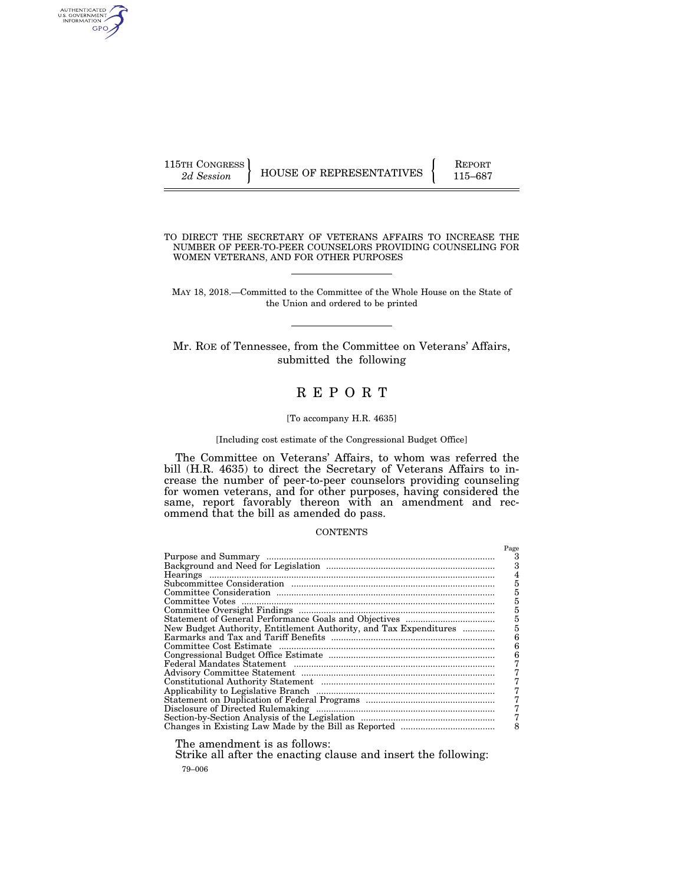AUTHENTICATED<br>U.S. GOVERNMENT<br>INFORMATION GPO

115TH CONGRESS HOUSE OF REPRESENTATIVES FEPORT 115–687

TO DIRECT THE SECRETARY OF VETERANS AFFAIRS TO INCREASE THE NUMBER OF PEER-TO-PEER COUNSELORS PROVIDING COUNSELING FOR WOMEN VETERANS, AND FOR OTHER PURPOSES

MAY 18, 2018.—Committed to the Committee of the Whole House on the State of the Union and ordered to be printed

Mr. ROE of Tennessee, from the Committee on Veterans' Affairs, submitted the following

# R E P O R T

#### [To accompany H.R. 4635]

#### [Including cost estimate of the Congressional Budget Office]

The Committee on Veterans' Affairs, to whom was referred the bill (H.R. 4635) to direct the Secretary of Veterans Affairs to increase the number of peer-to-peer counselors providing counseling for women veterans, and for other purposes, having considered the same, report favorably thereon with an amendment and recommend that the bill as amended do pass.

## **CONTENTS**

|                                                                   | Page |
|-------------------------------------------------------------------|------|
|                                                                   |      |
|                                                                   |      |
|                                                                   |      |
|                                                                   | 5    |
|                                                                   | 5    |
|                                                                   | 5    |
|                                                                   | 5    |
|                                                                   | 5    |
| New Budget Authority, Entitlement Authority, and Tax Expenditures |      |
|                                                                   |      |
|                                                                   | 6    |
|                                                                   |      |
|                                                                   |      |
|                                                                   |      |
|                                                                   |      |
|                                                                   |      |
|                                                                   |      |
|                                                                   |      |
|                                                                   |      |
|                                                                   | 8    |
|                                                                   |      |

The amendment is as follows:

79–006 Strike all after the enacting clause and insert the following: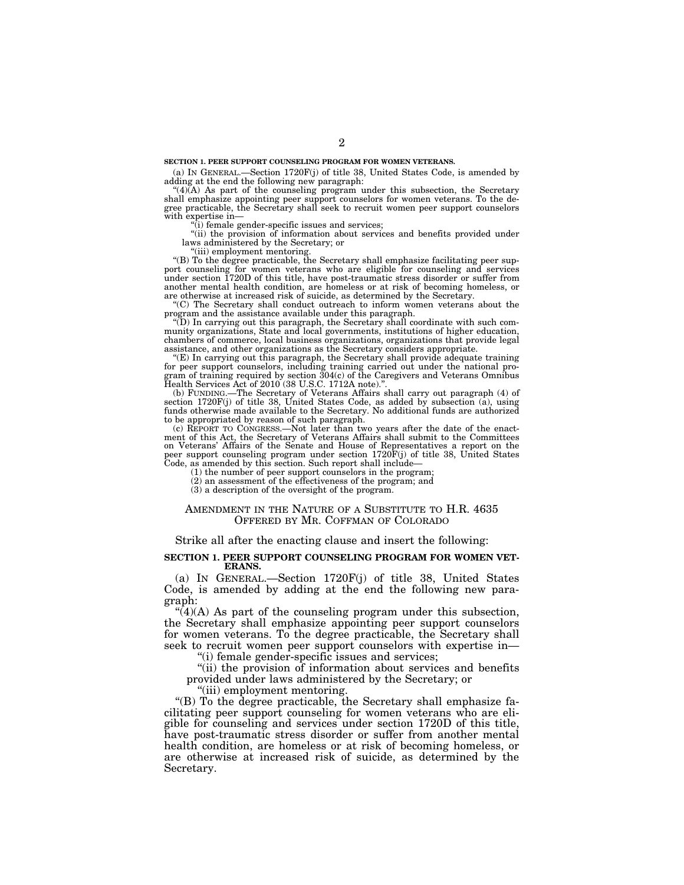#### **SECTION 1. PEER SUPPORT COUNSELING PROGRAM FOR WOMEN VETERANS.**

(a) IN GENERAL.—Section 1720F(j) of title 38, United States Code, is amended by adding at the end the following new paragraph:

''(4)(A) As part of the counseling program under this subsection, the Secretary shall emphasize appointing peer support counselors for women veterans. To the de-gree practicable, the Secretary shall seek to recruit women peer support counselors with expertise in—

 $(i)$  female gender-specific issues and services:

''(ii) the provision of information about services and benefits provided under laws administered by the Secretary; or

''(iii) employment mentoring.

''(B) To the degree practicable, the Secretary shall emphasize facilitating peer support counseling for women veterans who are eligible for counseling and services under section 1720D of this title, have post-traumatic stress disorder or suffer from another mental health condition, are homeless or at risk of becoming homeless, or are otherwise at increased risk of suicide, as determined by the Secretary. ''(C) The Secretary shall conduct outreach to inform women veterans about the

program and the assistance available under this paragraph. ''(D) In carrying out this paragraph, the Secretary shall coordinate with such com-

munity organizations, State and local governments, institutions of higher education, chambers of commerce, local business organizations, organizations that provide legal

assistance, and other organizations as the Secretary considers appropriate. ''(E) In carrying out this paragraph, the Secretary shall provide adequate training for peer support counselors, including training carried out under the national pro-gram of training required by section 304(c) of the Caregivers and Veterans Omnibus Health Services Act of 2010 (38 U.S.C. 1712A note)."

(b) FUNDING.—The Secretary of Veterans Affairs shall carry out paragraph  $(4)$  of section 1720F(j) of title 38, United States Code, as added by subsection  $(a)$ , using funds otherwise made available to the Secretary. No ad to be appropriated by reason of such paragraph.

(c) REPORT TO CONGRESS.—Not later than two years after the date of the enactment of this Act, the Secretary of Veterans Affairs shall submit to the Committees on Veterans' Affairs of the Senate and House of Representatives a report on the peer support counseling program under section 1720F(j) of title 38, United States Code, as amended by this section. Such report shall include—

(1) the number of peer support counselors in the program;

(2) an assessment of the effectiveness of the program; and

(3) a description of the oversight of the program.

#### AMENDMENT IN THE NATURE OF A SUBSTITUTE TO H.R. 4635 OFFERED BY MR. COFFMAN OF COLORADO

## Strike all after the enacting clause and insert the following:

#### **SECTION 1. PEER SUPPORT COUNSELING PROGRAM FOR WOMEN VET-ERANS.**

(a) IN GENERAL.—Section 1720F(j) of title 38, United States Code, is amended by adding at the end the following new paragraph:

 $\mathcal{L}(4)(A)$  As part of the counseling program under this subsection, the Secretary shall emphasize appointing peer support counselors for women veterans. To the degree practicable, the Secretary shall seek to recruit women peer support counselors with expertise in—

''(i) female gender-specific issues and services;

"(ii) the provision of information about services and benefits provided under laws administered by the Secretary; or

''(iii) employment mentoring.

''(B) To the degree practicable, the Secretary shall emphasize facilitating peer support counseling for women veterans who are eligible for counseling and services under section 1720D of this title, have post-traumatic stress disorder or suffer from another mental health condition, are homeless or at risk of becoming homeless, or are otherwise at increased risk of suicide, as determined by the Secretary.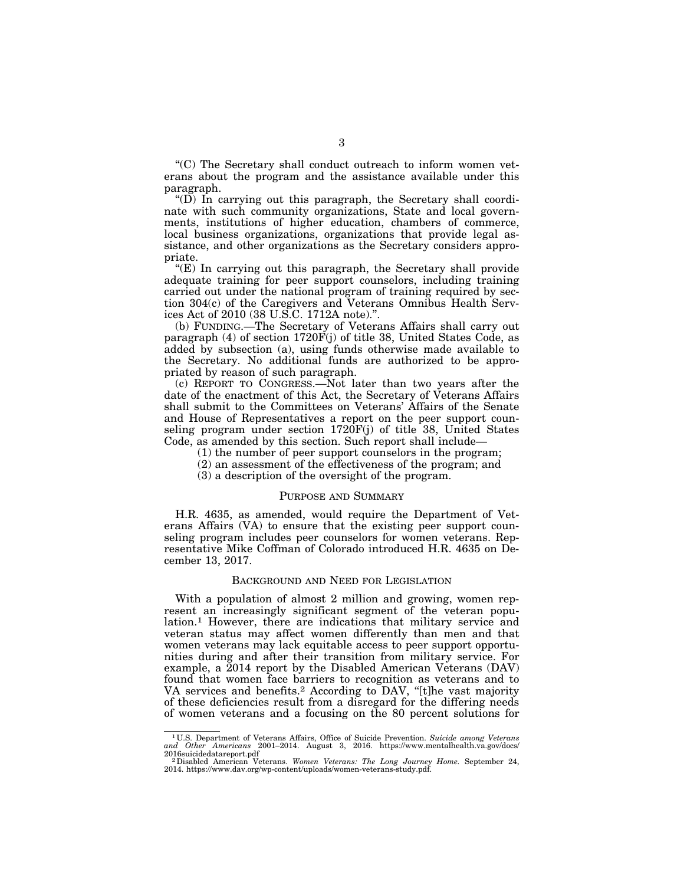''(C) The Secretary shall conduct outreach to inform women veterans about the program and the assistance available under this paragraph.

" $(D)$  In carrying out this paragraph, the Secretary shall coordinate with such community organizations, State and local governments, institutions of higher education, chambers of commerce, local business organizations, organizations that provide legal assistance, and other organizations as the Secretary considers appropriate.

 $E(E)$  In carrying out this paragraph, the Secretary shall provide adequate training for peer support counselors, including training carried out under the national program of training required by section 304(c) of the Caregivers and Veterans Omnibus Health Services Act of 2010 (38 U.S.C. 1712A note).''.

(b) FUNDING.—The Secretary of Veterans Affairs shall carry out paragraph (4) of section  $1720F(j)$  of title 38, United States Code, as added by subsection (a), using funds otherwise made available to the Secretary. No additional funds are authorized to be appropriated by reason of such paragraph.

(c) REPORT TO CONGRESS.—Not later than two years after the date of the enactment of this Act, the Secretary of Veterans Affairs shall submit to the Committees on Veterans' Affairs of the Senate and House of Representatives a report on the peer support counseling program under section  $1720F(j)$  of title 38, United States Code, as amended by this section. Such report shall include—

- (1) the number of peer support counselors in the program;
- (2) an assessment of the effectiveness of the program; and
- (3) a description of the oversight of the program.

## PURPOSE AND SUMMARY

H.R. 4635, as amended, would require the Department of Veterans Affairs (VA) to ensure that the existing peer support counseling program includes peer counselors for women veterans. Representative Mike Coffman of Colorado introduced H.R. 4635 on December 13, 2017.

## BACKGROUND AND NEED FOR LEGISLATION

With a population of almost 2 million and growing, women represent an increasingly significant segment of the veteran population.<sup>1</sup> However, there are indications that military service and veteran status may affect women differently than men and that women veterans may lack equitable access to peer support opportunities during and after their transition from military service. For example, a 2014 report by the Disabled American Veterans (DAV) found that women face barriers to recognition as veterans and to VA services and benefits.<sup>2</sup> According to DAV, "[t]he vast majority of these deficiencies result from a disregard for the differing needs of women veterans and a focusing on the 80 percent solutions for

<sup>1</sup> U.S. Department of Veterans Affairs, Office of Suicide Prevention. *Suicide among Veterans and Other Americans* 2001–2014. August 3, 2016. https://www.mentalhealth.va.gov/docs/

<sup>2016</sup>suicidedatareport.pdf<br><sup>2</sup> Disabled American Veterans. *Women Veterans: The Long Journey Home*. September 24,<br>2014. https://www.dav.org/wp-content/uploads/women-veterans-study.pdf.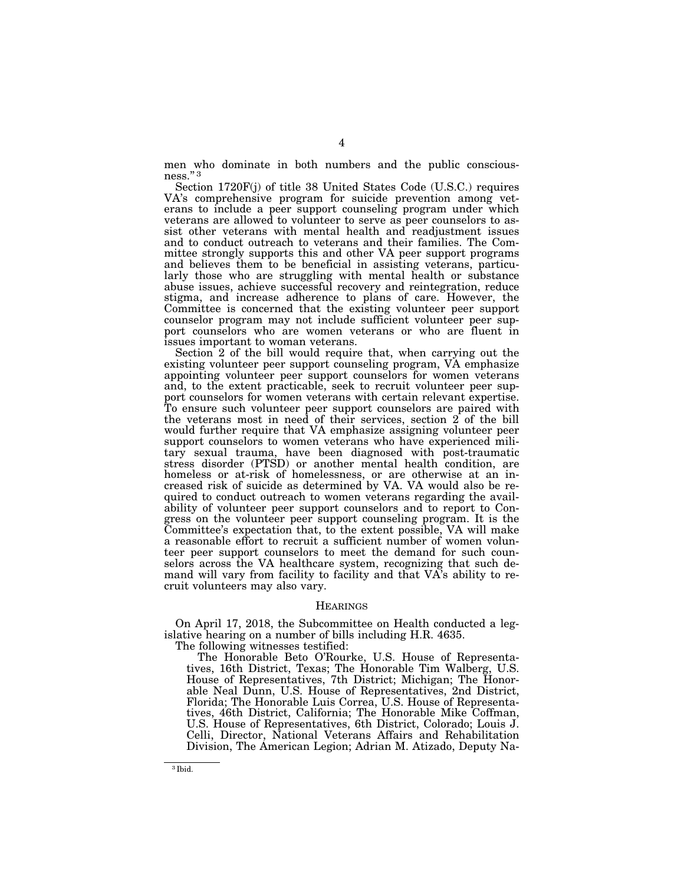men who dominate in both numbers and the public consciousness.'' 3

Section 1720F(j) of title 38 United States Code (U.S.C.) requires VA's comprehensive program for suicide prevention among veterans to include a peer support counseling program under which veterans are allowed to volunteer to serve as peer counselors to assist other veterans with mental health and readjustment issues and to conduct outreach to veterans and their families. The Committee strongly supports this and other VA peer support programs and believes them to be beneficial in assisting veterans, particularly those who are struggling with mental health or substance abuse issues, achieve successful recovery and reintegration, reduce stigma, and increase adherence to plans of care. However, the Committee is concerned that the existing volunteer peer support counselor program may not include sufficient volunteer peer support counselors who are women veterans or who are fluent in issues important to woman veterans.

Section 2 of the bill would require that, when carrying out the existing volunteer peer support counseling program, VA emphasize appointing volunteer peer support counselors for women veterans and, to the extent practicable, seek to recruit volunteer peer support counselors for women veterans with certain relevant expertise. To ensure such volunteer peer support counselors are paired with the veterans most in need of their services, section 2 of the bill would further require that VA emphasize assigning volunteer peer support counselors to women veterans who have experienced military sexual trauma, have been diagnosed with post-traumatic stress disorder (PTSD) or another mental health condition, are homeless or at-risk of homelessness, or are otherwise at an increased risk of suicide as determined by VA. VA would also be required to conduct outreach to women veterans regarding the availability of volunteer peer support counselors and to report to Congress on the volunteer peer support counseling program. It is the Committee's expectation that, to the extent possible, VA will make a reasonable effort to recruit a sufficient number of women volunteer peer support counselors to meet the demand for such counselors across the VA healthcare system, recognizing that such demand will vary from facility to facility and that VA's ability to recruit volunteers may also vary.

#### **HEARINGS**

On April 17, 2018, the Subcommittee on Health conducted a legislative hearing on a number of bills including H.R. 4635.

The following witnesses testified:

The Honorable Beto O'Rourke, U.S. House of Representatives, 16th District, Texas; The Honorable Tim Walberg, U.S. House of Representatives, 7th District; Michigan; The Honorable Neal Dunn, U.S. House of Representatives, 2nd District, Florida; The Honorable Luis Correa, U.S. House of Representatives, 46th District, California; The Honorable Mike Coffman, U.S. House of Representatives, 6th District, Colorado; Louis J. Celli, Director, National Veterans Affairs and Rehabilitation Division, The American Legion; Adrian M. Atizado, Deputy Na-

<sup>3</sup> Ibid.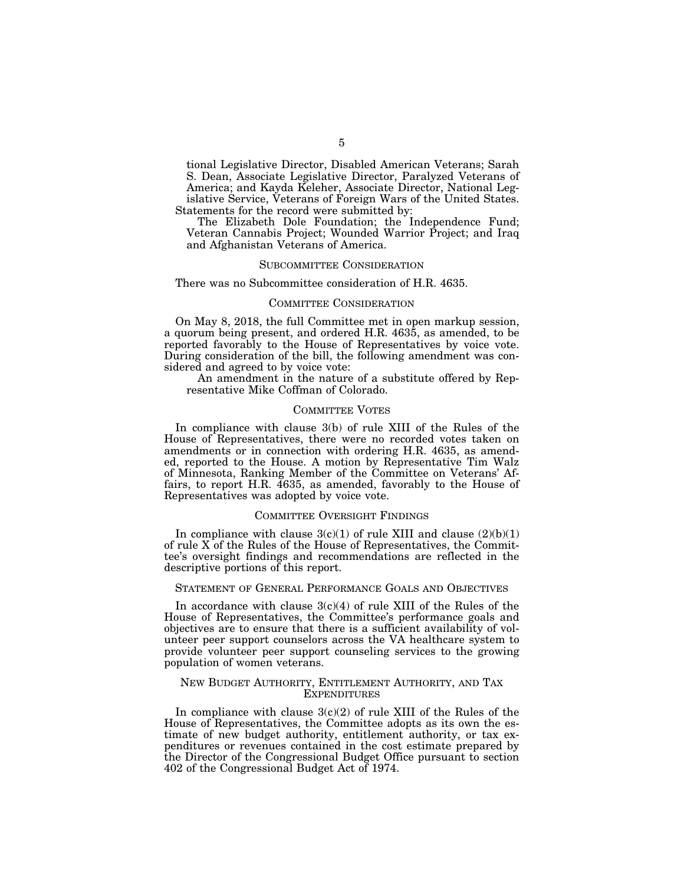tional Legislative Director, Disabled American Veterans; Sarah S. Dean, Associate Legislative Director, Paralyzed Veterans of America; and Kayda Keleher, Associate Director, National Legislative Service, Veterans of Foreign Wars of the United States. Statements for the record were submitted by:

The Elizabeth Dole Foundation; the Independence Fund; Veteran Cannabis Project; Wounded Warrior Project; and Iraq and Afghanistan Veterans of America.

#### SUBCOMMITTEE CONSIDERATION

There was no Subcommittee consideration of H.R. 4635.

#### COMMITTEE CONSIDERATION

On May 8, 2018, the full Committee met in open markup session, a quorum being present, and ordered H.R. 4635, as amended, to be reported favorably to the House of Representatives by voice vote. During consideration of the bill, the following amendment was considered and agreed to by voice vote:

An amendment in the nature of a substitute offered by Representative Mike Coffman of Colorado.

#### COMMITTEE VOTES

In compliance with clause 3(b) of rule XIII of the Rules of the House of Representatives, there were no recorded votes taken on amendments or in connection with ordering H.R. 4635, as amended, reported to the House. A motion by Representative Tim Walz of Minnesota, Ranking Member of the Committee on Veterans' Affairs, to report H.R. 4635, as amended, favorably to the House of Representatives was adopted by voice vote.

## COMMITTEE OVERSIGHT FINDINGS

In compliance with clause  $3(c)(1)$  of rule XIII and clause  $(2)(b)(1)$ of rule X of the Rules of the House of Representatives, the Committee's oversight findings and recommendations are reflected in the descriptive portions of this report.

## STATEMENT OF GENERAL PERFORMANCE GOALS AND OBJECTIVES

In accordance with clause  $3(c)(4)$  of rule XIII of the Rules of the House of Representatives, the Committee's performance goals and objectives are to ensure that there is a sufficient availability of volunteer peer support counselors across the VA healthcare system to provide volunteer peer support counseling services to the growing population of women veterans.

## NEW BUDGET AUTHORITY, ENTITLEMENT AUTHORITY, AND TAX **EXPENDITURES**

In compliance with clause  $3(c)(2)$  of rule XIII of the Rules of the House of Representatives, the Committee adopts as its own the estimate of new budget authority, entitlement authority, or tax expenditures or revenues contained in the cost estimate prepared by the Director of the Congressional Budget Office pursuant to section 402 of the Congressional Budget Act of 1974.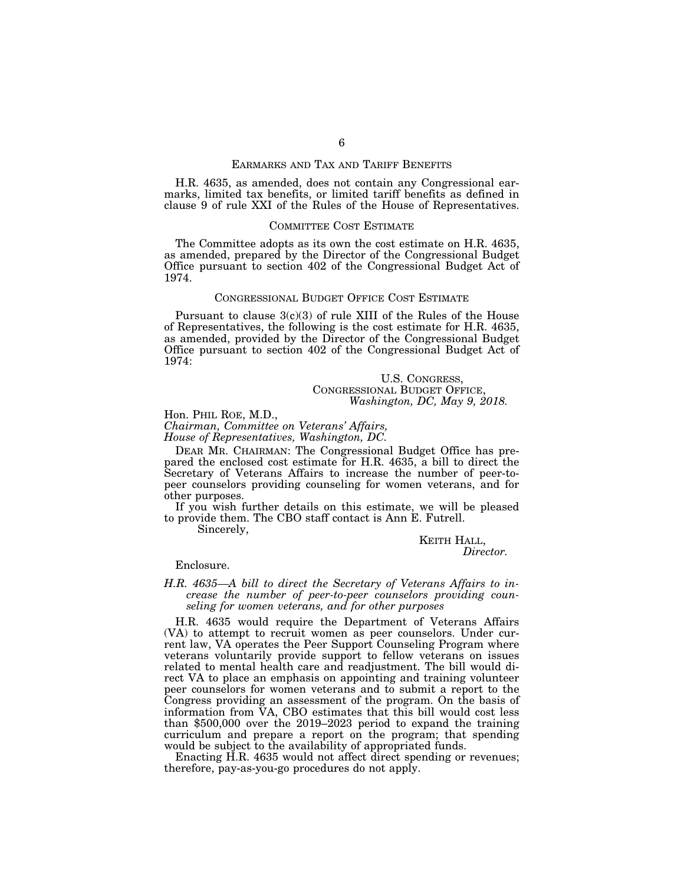## EARMARKS AND TAX AND TARIFF BENEFITS

H.R. 4635, as amended, does not contain any Congressional earmarks, limited tax benefits, or limited tariff benefits as defined in clause 9 of rule XXI of the Rules of the House of Representatives.

#### COMMITTEE COST ESTIMATE

The Committee adopts as its own the cost estimate on H.R. 4635, as amended, prepared by the Director of the Congressional Budget Office pursuant to section 402 of the Congressional Budget Act of 1974.

## CONGRESSIONAL BUDGET OFFICE COST ESTIMATE

Pursuant to clause  $3(c)(3)$  of rule XIII of the Rules of the House of Representatives, the following is the cost estimate for H.R. 4635, as amended, provided by the Director of the Congressional Budget Office pursuant to section 402 of the Congressional Budget Act of 1974:

> U.S. CONGRESS, CONGRESSIONAL BUDGET OFFICE, *Washington, DC, May 9, 2018.*

Hon. PHIL ROE, M.D., *Chairman, Committee on Veterans' Affairs, House of Representatives, Washington, DC.* 

DEAR MR. CHAIRMAN: The Congressional Budget Office has prepared the enclosed cost estimate for H.R. 4635, a bill to direct the Secretary of Veterans Affairs to increase the number of peer-topeer counselors providing counseling for women veterans, and for other purposes.

If you wish further details on this estimate, we will be pleased to provide them. The CBO staff contact is Ann E. Futrell.

Sincerely,

# KEITH HALL, *Director.*

Enclosure.

## *H.R. 4635—A bill to direct the Secretary of Veterans Affairs to increase the number of peer-to-peer counselors providing counseling for women veterans, and for other purposes*

H.R. 4635 would require the Department of Veterans Affairs (VA) to attempt to recruit women as peer counselors. Under current law, VA operates the Peer Support Counseling Program where veterans voluntarily provide support to fellow veterans on issues related to mental health care and readjustment. The bill would direct VA to place an emphasis on appointing and training volunteer peer counselors for women veterans and to submit a report to the Congress providing an assessment of the program. On the basis of information from VA, CBO estimates that this bill would cost less than \$500,000 over the 2019–2023 period to expand the training curriculum and prepare a report on the program; that spending would be subject to the availability of appropriated funds.

Enacting H.R. 4635 would not affect direct spending or revenues; therefore, pay-as-you-go procedures do not apply.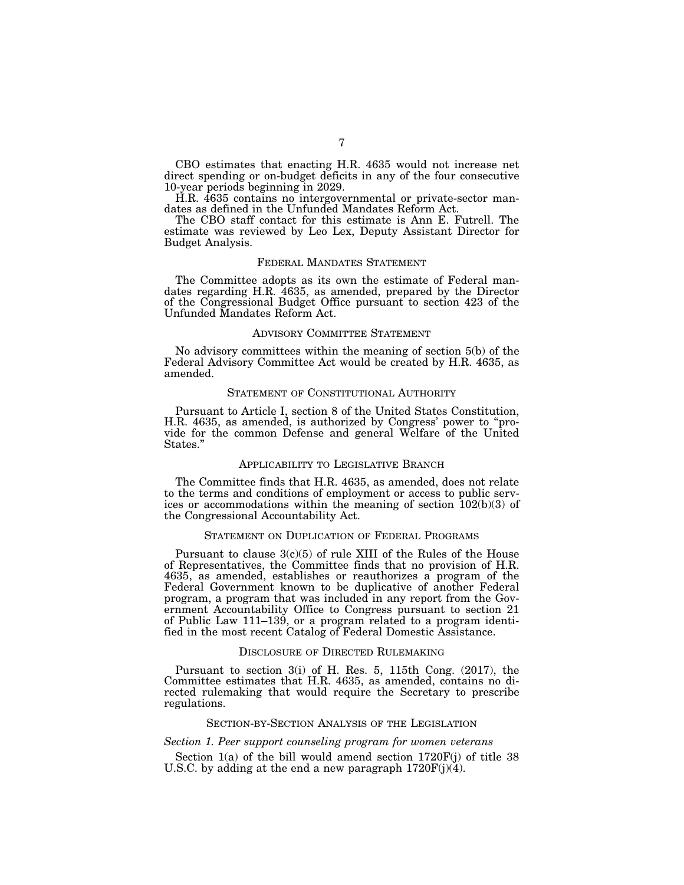CBO estimates that enacting H.R. 4635 would not increase net direct spending or on-budget deficits in any of the four consecutive 10-year periods beginning in 2029.

H.R. 4635 contains no intergovernmental or private-sector mandates as defined in the Unfunded Mandates Reform Act.

The CBO staff contact for this estimate is Ann E. Futrell. The estimate was reviewed by Leo Lex, Deputy Assistant Director for Budget Analysis.

#### FEDERAL MANDATES STATEMENT

The Committee adopts as its own the estimate of Federal mandates regarding H.R. 4635, as amended, prepared by the Director of the Congressional Budget Office pursuant to section 423 of the Unfunded Mandates Reform Act.

#### ADVISORY COMMITTEE STATEMENT

No advisory committees within the meaning of section 5(b) of the Federal Advisory Committee Act would be created by H.R. 4635, as amended.

## STATEMENT OF CONSTITUTIONAL AUTHORITY

Pursuant to Article I, section 8 of the United States Constitution, H.R. 4635, as amended, is authorized by Congress' power to ''provide for the common Defense and general Welfare of the United States.''

## APPLICABILITY TO LEGISLATIVE BRANCH

The Committee finds that H.R. 4635, as amended, does not relate to the terms and conditions of employment or access to public services or accommodations within the meaning of section 102(b)(3) of the Congressional Accountability Act.

## STATEMENT ON DUPLICATION OF FEDERAL PROGRAMS

Pursuant to clause  $3(c)(5)$  of rule XIII of the Rules of the House of Representatives, the Committee finds that no provision of H.R. 4635, as amended, establishes or reauthorizes a program of the Federal Government known to be duplicative of another Federal program, a program that was included in any report from the Government Accountability Office to Congress pursuant to section 21 of Public Law 111–139, or a program related to a program identified in the most recent Catalog of Federal Domestic Assistance.

## DISCLOSURE OF DIRECTED RULEMAKING

Pursuant to section 3(i) of H. Res. 5, 115th Cong. (2017), the Committee estimates that H.R. 4635, as amended, contains no directed rulemaking that would require the Secretary to prescribe regulations.

## SECTION-BY-SECTION ANALYSIS OF THE LEGISLATION

#### *Section 1. Peer support counseling program for women veterans*

Section  $1(a)$  of the bill would amend section  $1720F(j)$  of title 38 U.S.C. by adding at the end a new paragraph  $1720F(j)(4)$ .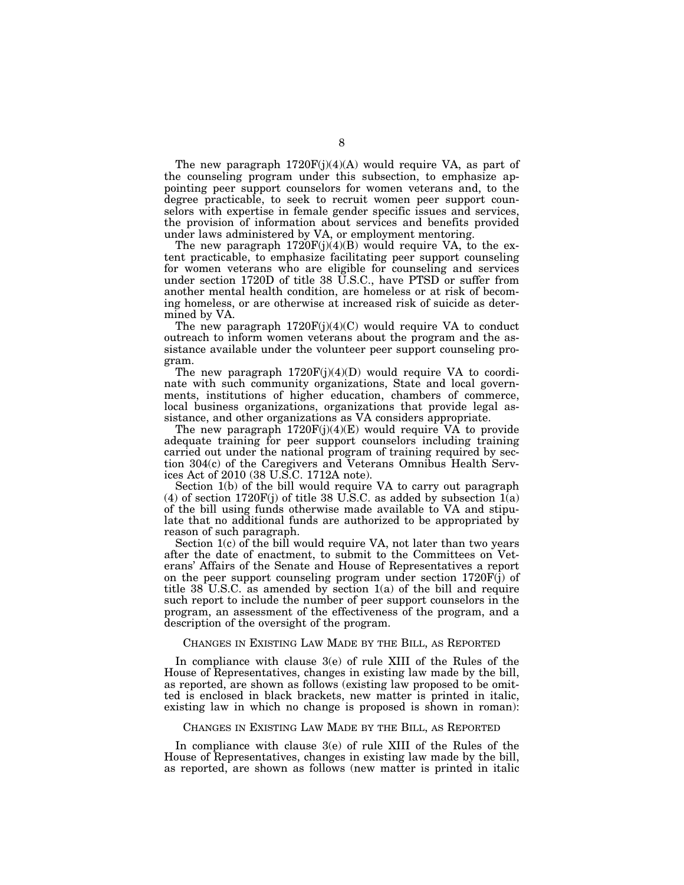The new paragraph  $1720F(j)(4)(A)$  would require VA, as part of the counseling program under this subsection, to emphasize appointing peer support counselors for women veterans and, to the degree practicable, to seek to recruit women peer support counselors with expertise in female gender specific issues and services, the provision of information about services and benefits provided under laws administered by VA, or employment mentoring.

The new paragraph  $1720F(j)(4)(B)$  would require VA, to the extent practicable, to emphasize facilitating peer support counseling for women veterans who are eligible for counseling and services under section 1720D of title 38 U.S.C., have PTSD or suffer from another mental health condition, are homeless or at risk of becoming homeless, or are otherwise at increased risk of suicide as determined by VA.

The new paragraph  $1720F(j)(4)(C)$  would require VA to conduct outreach to inform women veterans about the program and the assistance available under the volunteer peer support counseling program.

The new paragraph  $1720F(j)(4)(D)$  would require VA to coordinate with such community organizations, State and local governments, institutions of higher education, chambers of commerce, local business organizations, organizations that provide legal assistance, and other organizations as VA considers appropriate.

The new paragraph  $1720F(j)(4)(E)$  would require VA to provide adequate training for peer support counselors including training carried out under the national program of training required by section 304(c) of the Caregivers and Veterans Omnibus Health Services Act of 2010 (38 U.S.C. 1712A note).

Section 1(b) of the bill would require VA to carry out paragraph (4) of section  $1720F(j)$  of title 38 U.S.C. as added by subsection  $1(a)$ of the bill using funds otherwise made available to VA and stipulate that no additional funds are authorized to be appropriated by reason of such paragraph.

Section 1(c) of the bill would require VA, not later than two years after the date of enactment, to submit to the Committees on Veterans' Affairs of the Senate and House of Representatives a report on the peer support counseling program under section 1720F(j) of title 38 U.S.C. as amended by section 1(a) of the bill and require such report to include the number of peer support counselors in the program, an assessment of the effectiveness of the program, and a description of the oversight of the program.

#### CHANGES IN EXISTING LAW MADE BY THE BILL, AS REPORTED

In compliance with clause 3(e) of rule XIII of the Rules of the House of Representatives, changes in existing law made by the bill, as reported, are shown as follows (existing law proposed to be omitted is enclosed in black brackets, new matter is printed in italic, existing law in which no change is proposed is shown in roman):

#### CHANGES IN EXISTING LAW MADE BY THE BILL, AS REPORTED

In compliance with clause 3(e) of rule XIII of the Rules of the House of Representatives, changes in existing law made by the bill, as reported, are shown as follows (new matter is printed in italic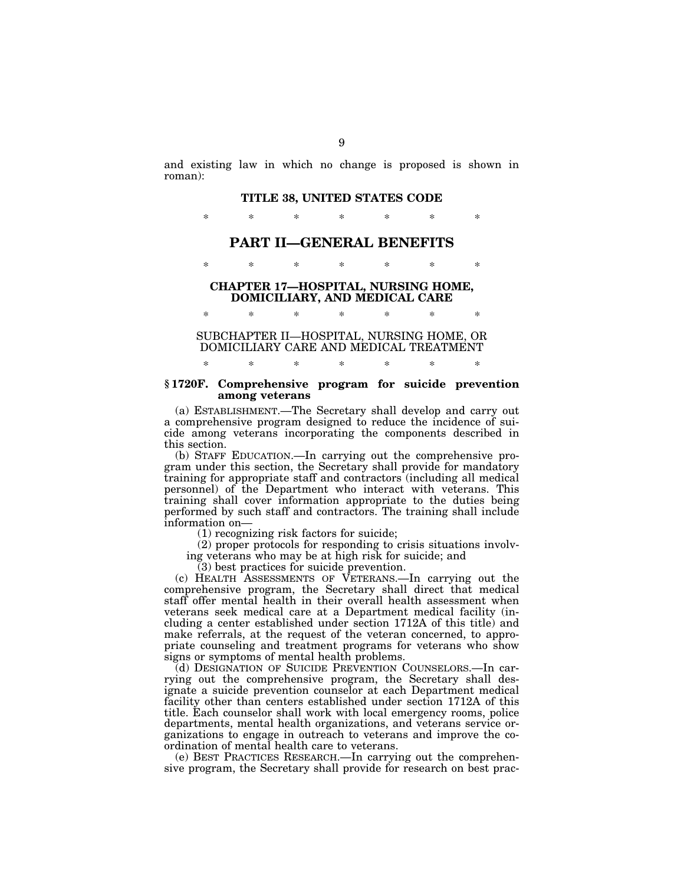and existing law in which no change is proposed is shown in roman):

#### **TITLE 38, UNITED STATES CODE**

\* \* \* \* \* \* \*

## **PART II—GENERAL BENEFITS**

\* \* \* \* \* \* \*

## **CHAPTER 17—HOSPITAL, NURSING HOME, DOMICILIARY, AND MEDICAL CARE**

SUBCHAPTER II—HOSPITAL, NURSING HOME, OR DOMICILIARY CARE AND MEDICAL TREATMENT

\* \* \* \* \* \* \*

\* \* \* \* \* \* \*

## **§ 1720F. Comprehensive program for suicide prevention among veterans**

(a) ESTABLISHMENT.—The Secretary shall develop and carry out a comprehensive program designed to reduce the incidence of suicide among veterans incorporating the components described in this section.

(b) STAFF EDUCATION.—In carrying out the comprehensive program under this section, the Secretary shall provide for mandatory training for appropriate staff and contractors (including all medical personnel) of the Department who interact with veterans. This training shall cover information appropriate to the duties being performed by such staff and contractors. The training shall include information on—

(1) recognizing risk factors for suicide;

(2) proper protocols for responding to crisis situations involving veterans who may be at high risk for suicide; and

(3) best practices for suicide prevention.

(c) HEALTH ASSESSMENTS OF VETERANS.—In carrying out the comprehensive program, the Secretary shall direct that medical staff offer mental health in their overall health assessment when veterans seek medical care at a Department medical facility (including a center established under section 1712A of this title) and make referrals, at the request of the veteran concerned, to appropriate counseling and treatment programs for veterans who show signs or symptoms of mental health problems.

(d) DESIGNATION OF SUICIDE PREVENTION COUNSELORS.—In carrying out the comprehensive program, the Secretary shall designate a suicide prevention counselor at each Department medical facility other than centers established under section 1712A of this title. Each counselor shall work with local emergency rooms, police departments, mental health organizations, and veterans service organizations to engage in outreach to veterans and improve the coordination of mental health care to veterans.

(e) BEST PRACTICES RESEARCH.—In carrying out the comprehensive program, the Secretary shall provide for research on best prac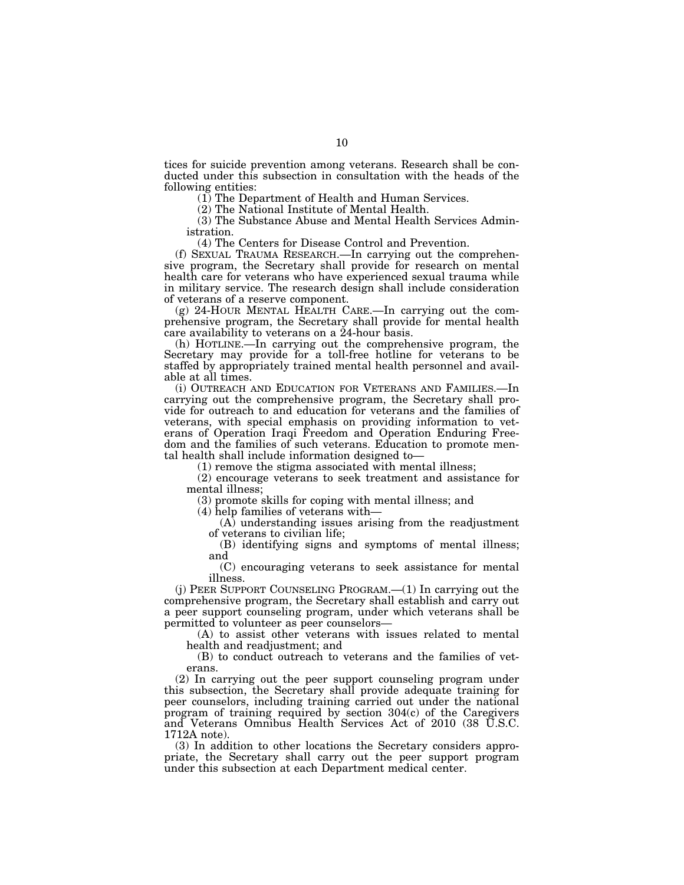tices for suicide prevention among veterans. Research shall be conducted under this subsection in consultation with the heads of the following entities:

(1) The Department of Health and Human Services.

(2) The National Institute of Mental Health.

(3) The Substance Abuse and Mental Health Services Administration.

(4) The Centers for Disease Control and Prevention.

(f) SEXUAL TRAUMA RESEARCH.—In carrying out the comprehensive program, the Secretary shall provide for research on mental health care for veterans who have experienced sexual trauma while in military service. The research design shall include consideration of veterans of a reserve component.

(g) 24-HOUR MENTAL HEALTH CARE.—In carrying out the comprehensive program, the Secretary shall provide for mental health care availability to veterans on a 24-hour basis.

(h) HOTLINE.—In carrying out the comprehensive program, the Secretary may provide for a toll-free hotline for veterans to be staffed by appropriately trained mental health personnel and available at all times.

(i) OUTREACH AND EDUCATION FOR VETERANS AND FAMILIES.—In carrying out the comprehensive program, the Secretary shall provide for outreach to and education for veterans and the families of veterans, with special emphasis on providing information to veterans of Operation Iraqi Freedom and Operation Enduring Freedom and the families of such veterans. Education to promote mental health shall include information designed to—

(1) remove the stigma associated with mental illness;

(2) encourage veterans to seek treatment and assistance for mental illness;

(3) promote skills for coping with mental illness; and

(4) help families of veterans with—

(A) understanding issues arising from the readjustment of veterans to civilian life;

(B) identifying signs and symptoms of mental illness; and

(C) encouraging veterans to seek assistance for mental illness.

(j) PEER SUPPORT COUNSELING PROGRAM.—(1) In carrying out the comprehensive program, the Secretary shall establish and carry out a peer support counseling program, under which veterans shall be permitted to volunteer as peer counselors—

(A) to assist other veterans with issues related to mental health and readjustment; and

(B) to conduct outreach to veterans and the families of veterans.

(2) In carrying out the peer support counseling program under this subsection, the Secretary shall provide adequate training for peer counselors, including training carried out under the national program of training required by section 304(c) of the Caregivers and Veterans Omnibus Health Services Act of 2010 (38 U.S.C. 1712A note).

(3) In addition to other locations the Secretary considers appropriate, the Secretary shall carry out the peer support program under this subsection at each Department medical center.